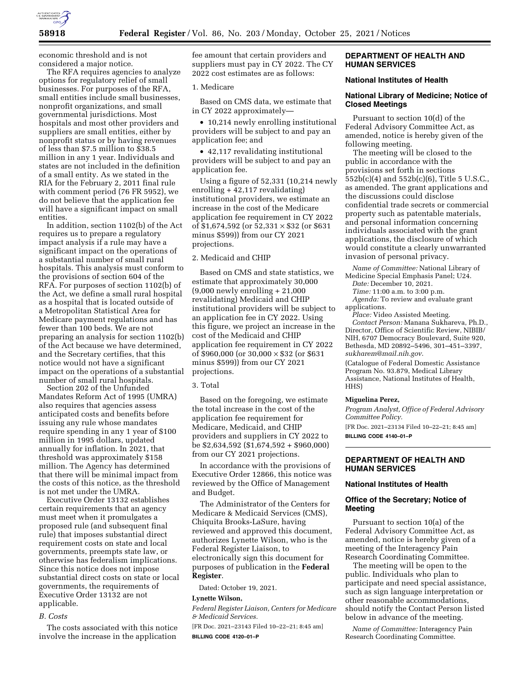

economic threshold and is not considered a major notice.

The RFA requires agencies to analyze options for regulatory relief of small businesses. For purposes of the RFA, small entities include small businesses, nonprofit organizations, and small governmental jurisdictions. Most hospitals and most other providers and suppliers are small entities, either by nonprofit status or by having revenues of less than \$7.5 million to \$38.5 million in any 1 year. Individuals and states are not included in the definition of a small entity. As we stated in the RIA for the February 2, 2011 final rule with comment period (76 FR 5952), we do not believe that the application fee will have a significant impact on small entities.

In addition, section 1102(b) of the Act requires us to prepare a regulatory impact analysis if a rule may have a significant impact on the operations of a substantial number of small rural hospitals. This analysis must conform to the provisions of section 604 of the RFA. For purposes of section 1102(b) of the Act, we define a small rural hospital as a hospital that is located outside of a Metropolitan Statistical Area for Medicare payment regulations and has fewer than 100 beds. We are not preparing an analysis for section 1102(b) of the Act because we have determined, and the Secretary certifies, that this notice would not have a significant impact on the operations of a substantial number of small rural hospitals.

Section 202 of the Unfunded Mandates Reform Act of 1995 (UMRA) also requires that agencies assess anticipated costs and benefits before issuing any rule whose mandates require spending in any 1 year of \$100 million in 1995 dollars, updated annually for inflation. In 2021, that threshold was approximately \$158 million. The Agency has determined that there will be minimal impact from the costs of this notice, as the threshold is not met under the UMRA.

Executive Order 13132 establishes certain requirements that an agency must meet when it promulgates a proposed rule (and subsequent final rule) that imposes substantial direct requirement costs on state and local governments, preempts state law, or otherwise has federalism implications. Since this notice does not impose substantial direct costs on state or local governments, the requirements of Executive Order 13132 are not applicable.

### *B. Costs*

The costs associated with this notice involve the increase in the application

fee amount that certain providers and suppliers must pay in CY 2022. The CY 2022 cost estimates are as follows:

### 1. Medicare

Based on CMS data, we estimate that in CY 2022 approximately—

• 10,214 newly enrolling institutional providers will be subject to and pay an application fee; and

• 42,117 revalidating institutional providers will be subject to and pay an application fee.

Using a figure of 52,331 (10,214 newly enrolling + 42,117 revalidating) institutional providers, we estimate an increase in the cost of the Medicare application fee requirement in CY 2022 of \$1,674,592 (or  $52,331 \times $32$  (or \$631 minus \$599)) from our CY 2021 projections.

#### 2. Medicaid and CHIP

Based on CMS and state statistics, we estimate that approximately 30,000 (9,000 newly enrolling + 21,000 revalidating) Medicaid and CHIP institutional providers will be subject to an application fee in CY 2022. Using this figure, we project an increase in the cost of the Medicaid and CHIP application fee requirement in CY 2022 of \$960,000 (or 30,000 × \$32 (or \$631 minus \$599)) from our CY 2021 projections.

### 3. Total

Based on the foregoing, we estimate the total increase in the cost of the application fee requirement for Medicare, Medicaid, and CHIP providers and suppliers in CY 2022 to be \$2,634,592 (\$1,674,592 + \$960,000) from our CY 2021 projections.

In accordance with the provisions of Executive Order 12866, this notice was reviewed by the Office of Management and Budget.

The Administrator of the Centers for Medicare & Medicaid Services (CMS), Chiquita Brooks-LaSure, having reviewed and approved this document, authorizes Lynette Wilson, who is the Federal Register Liaison, to electronically sign this document for purposes of publication in the **Federal Register**.

Dated: October 19, 2021.

### **Lynette Wilson,**

*Federal Register Liaison, Centers for Medicare & Medicaid Services.* 

[FR Doc. 2021–23143 Filed 10–22–21; 8:45 am] **BILLING CODE 4120–01–P** 

### **DEPARTMENT OF HEALTH AND HUMAN SERVICES**

# **National Institutes of Health**

# **National Library of Medicine; Notice of Closed Meetings**

Pursuant to section 10(d) of the Federal Advisory Committee Act, as amended, notice is hereby given of the following meeting.

The meeting will be closed to the public in accordance with the provisions set forth in sections 552b(c)(4) and 552b(c)(6), Title 5 U.S.C., as amended. The grant applications and the discussions could disclose confidential trade secrets or commercial property such as patentable materials, and personal information concerning individuals associated with the grant applications, the disclosure of which would constitute a clearly unwarranted invasion of personal privacy.

*Name of Committee:* National Library of Medicine Special Emphasis Panel; U24. *Date:* December 10, 2021. *Time:* 11:00 a.m. to 3:00 p.m.

*Agenda:* To review and evaluate grant

applications. *Place:* Video Assisted Meeting. *Contact Person:* Manana Sukhareva, Ph.D., Director, Office of Scientific Review, NIBIB/ NIH, 6707 Democracy Boulevard, Suite 920, Bethesda, MD 20892–5496, 301–451–3397,

*[sukharem@mail.nih.gov](mailto:sukharem@mail.nih.gov)*. (Catalogue of Federal Domestic Assistance Program No. 93.879, Medical Library Assistance, National Institutes of Health, HHS)

#### **Miguelina Perez,**

*Program Analyst, Office of Federal Advisory Committee Policy.* 

[FR Doc. 2021–23134 Filed 10–22–21; 8:45 am] **BILLING CODE 4140–01–P** 

# **DEPARTMENT OF HEALTH AND HUMAN SERVICES**

### **National Institutes of Health**

# **Office of the Secretary; Notice of Meeting**

Pursuant to section 10(a) of the Federal Advisory Committee Act, as amended, notice is hereby given of a meeting of the Interagency Pain Research Coordinating Committee.

The meeting will be open to the public. Individuals who plan to participate and need special assistance, such as sign language interpretation or other reasonable accommodations, should notify the Contact Person listed below in advance of the meeting.

*Name of Committee:* Interagency Pain Research Coordinating Committee.